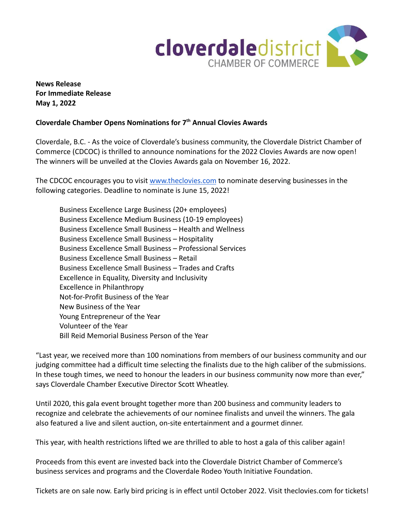

**News Release For Immediate Release May 1, 2022**

## **Cloverdale Chamber Opens Nominations for 7th Annual Clovies Awards**

Cloverdale, B.C. - As the voice of Cloverdale's business community, the Cloverdale District Chamber of Commerce (CDCOC) is thrilled to announce nominations for the 2022 Clovies Awards are now open! The winners will be unveiled at the Clovies Awards gala on November 16, 2022.

The CDCOC encourages you to visit [www.theclovies.com](https://www.theclovies.com) to nominate deserving businesses in the following categories. Deadline to nominate is June 15, 2022!

Business Excellence Large Business (20+ employees) Business Excellence Medium Business (10-19 employees) Business Excellence Small Business – Health and Wellness Business Excellence Small Business – Hospitality Business Excellence Small Business – Professional Services Business Excellence Small Business – Retail Business Excellence Small Business – Trades and Crafts Excellence in Equality, Diversity and Inclusivity Excellence in Philanthropy Not-for-Profit Business of the Year New Business of the Year Young Entrepreneur of the Year Volunteer of the Year Bill Reid Memorial Business Person of the Year

"Last year, we received more than 100 nominations from members of our business community and our judging committee had a difficult time selecting the finalists due to the high caliber of the submissions. In these tough times, we need to honour the leaders in our business community now more than ever," says Cloverdale Chamber Executive Director Scott Wheatley.

Until 2020, this gala event brought together more than 200 business and community leaders to recognize and celebrate the achievements of our nominee finalists and unveil the winners. The gala also featured a live and silent auction, on-site entertainment and a gourmet dinner.

This year, with health restrictions lifted we are thrilled to able to host a gala of this caliber again!

Proceeds from this event are invested back into the Cloverdale District Chamber of Commerce's business services and programs and the Cloverdale Rodeo Youth Initiative Foundation.

Tickets are on sale now. Early bird pricing is in effect until October 2022. Visit theclovies.com for tickets!